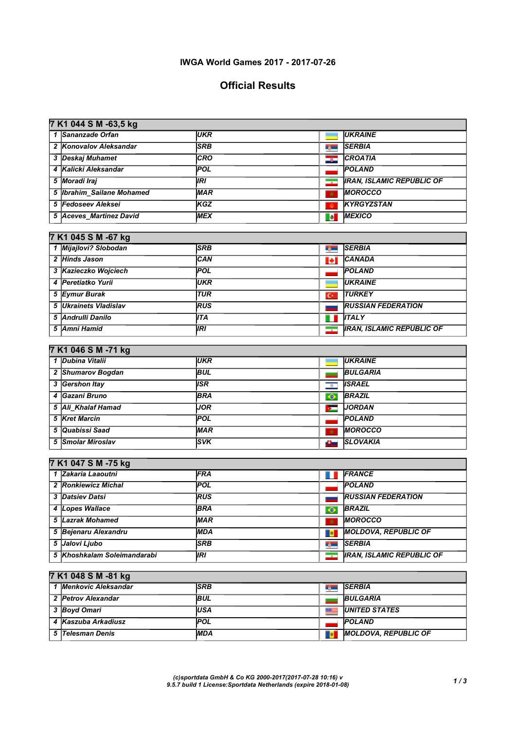### IWGA World Games 2017 - 2017-07-26

# Official Results

| 1 Sananzade Orfan<br><b>UKR</b><br><b>UKRAINE</b><br>2 Konovalov Aleksandar<br><b>SRB</b><br><b>SERBIA</b><br><b>Type:</b><br><b>CRO</b><br><b>CROATIA</b><br>3 Deskaj Muhamet<br>دود<br>4 Kalicki Aleksandar<br>POL<br><b>POLAND</b><br>5 Moradi Iraj<br><b>IRI</b><br><b>IRAN, ISLAMIC REPUBLIC OF</b><br>$\overline{\phantom{a}}$<br>5  Ibrahim_Sailane Mohamed<br><b>MAR</b><br><b>MOROCCO</b><br>$\star$<br>5 Fedoseev Aleksei<br>KGZ<br><b>KYRGYZSTAN</b><br>$\circ$<br><b>MEXICO</b><br>5 Aceves_Martinez David<br><b>MEX</b><br><b>To</b><br>7 K1 045 S M -67 kg<br>1 Mijajlovi? Slobodan<br><b>SRB</b><br><b>SERBIA</b><br><b>Bellin</b><br>2 Hinds Jason<br>CAN<br><b>CANADA</b><br>Н<br>3 Kazieczko Wojciech<br><b>POL</b><br><b>POLAND</b><br>4 Peretiatko Yurii<br><b>UKR</b><br><b>UKRAINE</b><br><b>TUR</b><br>5 Eymur Burak<br><b>TURKEY</b><br>$\overline{C}$<br>5 Ukrainets Vladislav<br>RUS<br><b>RUSSIAN FEDERATION</b><br><b>ITA</b><br><b>ITALY</b><br>5 Andrulli Danilo<br>ш<br>5 Amni Hamid<br><b>IRAN, ISLAMIC REPUBLIC OF</b><br><b>IRI</b><br>$\overline{\phantom{a}}$<br>7 K1 046 S M -71 kg<br>1 Dubina Vitalii<br><b>UKR</b><br><b>UKRAINE</b><br><b>Contract Contract Contract</b><br>2 Shumarov Bogdan<br><b>BUL</b><br><b>BULGARIA</b><br>3 Gershon Itay<br><b>ISR</b><br><b>ISRAEL</b><br>$\overline{a}$<br>4 Gazani Bruno<br><b>BRA</b><br><b>BRAZIL</b><br>$\bullet$<br><b>JOR</b><br><b>JORDAN</b><br>5 Ali_Khalaf Hamad<br>ь<br>POL<br><b>POLAND</b><br>5 Kret Marcin<br><b>MOROCCO</b><br>5 Quabissi Saad<br><b>MAR</b><br>$\star$<br><b>SVK</b><br>5 Smolar Miroslav<br><b>SLOVAKIA</b><br>A –<br>7 K1 047 S M -75 kg<br>1 Zakaria Laaoutni<br>FRA<br>FRANCE<br>. .<br>POL<br>2 Ronkiewicz Michal<br><b>POLAND</b><br><b>RUS</b><br><b>RUSSIAN FEDERATION</b><br><b>3 Datsiev Datsi</b><br>4 Lopes Wallace<br><b>BRAZIL</b><br>BRA<br>$\bullet$<br>5 Lazrak Mohamed<br><b>MAR</b><br><b>MOROCCO</b><br>$\star$<br>5 Bejenaru Alexandru<br><b>MOLDOVA, REPUBLIC OF</b><br><b>MDA</b><br><b>B</b><br>5 Jalovi Ljubo<br><b>SRB</b><br><b>SERBIA</b><br><b>Ryan</b><br>5 Khoshkalam Soleimandarabi<br><b>IRI</b><br><b>IRAN, ISLAMIC REPUBLIC OF</b><br>$\overline{\phantom{a}}$<br>7 K1 048 S M -81 kg<br>1 Menkovic Aleksandar<br><b>SRB</b><br><b>SERBIA</b><br><b>By Contract Street</b><br><b>BUL</b><br>2 Petrov Alexandar<br><b>BULGARIA</b><br>3 Boyd Omari<br>第三 |  | 7 K1 044 S M -63,5 kg |            |  |                      |  |  |
|---------------------------------------------------------------------------------------------------------------------------------------------------------------------------------------------------------------------------------------------------------------------------------------------------------------------------------------------------------------------------------------------------------------------------------------------------------------------------------------------------------------------------------------------------------------------------------------------------------------------------------------------------------------------------------------------------------------------------------------------------------------------------------------------------------------------------------------------------------------------------------------------------------------------------------------------------------------------------------------------------------------------------------------------------------------------------------------------------------------------------------------------------------------------------------------------------------------------------------------------------------------------------------------------------------------------------------------------------------------------------------------------------------------------------------------------------------------------------------------------------------------------------------------------------------------------------------------------------------------------------------------------------------------------------------------------------------------------------------------------------------------------------------------------------------------------------------------------------------------------------------------------------------------------------------------------------------------------------------------------------------------------------------------------------------------------------------------------------------------------------------------------------------------------------------------------------------------------------------------------------------------------------------------------------------------------------------------------------------------------------------------------------------------|--|-----------------------|------------|--|----------------------|--|--|
|                                                                                                                                                                                                                                                                                                                                                                                                                                                                                                                                                                                                                                                                                                                                                                                                                                                                                                                                                                                                                                                                                                                                                                                                                                                                                                                                                                                                                                                                                                                                                                                                                                                                                                                                                                                                                                                                                                                                                                                                                                                                                                                                                                                                                                                                                                                                                                                                               |  |                       |            |  |                      |  |  |
|                                                                                                                                                                                                                                                                                                                                                                                                                                                                                                                                                                                                                                                                                                                                                                                                                                                                                                                                                                                                                                                                                                                                                                                                                                                                                                                                                                                                                                                                                                                                                                                                                                                                                                                                                                                                                                                                                                                                                                                                                                                                                                                                                                                                                                                                                                                                                                                                               |  |                       |            |  |                      |  |  |
|                                                                                                                                                                                                                                                                                                                                                                                                                                                                                                                                                                                                                                                                                                                                                                                                                                                                                                                                                                                                                                                                                                                                                                                                                                                                                                                                                                                                                                                                                                                                                                                                                                                                                                                                                                                                                                                                                                                                                                                                                                                                                                                                                                                                                                                                                                                                                                                                               |  |                       |            |  |                      |  |  |
|                                                                                                                                                                                                                                                                                                                                                                                                                                                                                                                                                                                                                                                                                                                                                                                                                                                                                                                                                                                                                                                                                                                                                                                                                                                                                                                                                                                                                                                                                                                                                                                                                                                                                                                                                                                                                                                                                                                                                                                                                                                                                                                                                                                                                                                                                                                                                                                                               |  |                       |            |  |                      |  |  |
|                                                                                                                                                                                                                                                                                                                                                                                                                                                                                                                                                                                                                                                                                                                                                                                                                                                                                                                                                                                                                                                                                                                                                                                                                                                                                                                                                                                                                                                                                                                                                                                                                                                                                                                                                                                                                                                                                                                                                                                                                                                                                                                                                                                                                                                                                                                                                                                                               |  |                       |            |  |                      |  |  |
|                                                                                                                                                                                                                                                                                                                                                                                                                                                                                                                                                                                                                                                                                                                                                                                                                                                                                                                                                                                                                                                                                                                                                                                                                                                                                                                                                                                                                                                                                                                                                                                                                                                                                                                                                                                                                                                                                                                                                                                                                                                                                                                                                                                                                                                                                                                                                                                                               |  |                       |            |  |                      |  |  |
|                                                                                                                                                                                                                                                                                                                                                                                                                                                                                                                                                                                                                                                                                                                                                                                                                                                                                                                                                                                                                                                                                                                                                                                                                                                                                                                                                                                                                                                                                                                                                                                                                                                                                                                                                                                                                                                                                                                                                                                                                                                                                                                                                                                                                                                                                                                                                                                                               |  |                       |            |  |                      |  |  |
|                                                                                                                                                                                                                                                                                                                                                                                                                                                                                                                                                                                                                                                                                                                                                                                                                                                                                                                                                                                                                                                                                                                                                                                                                                                                                                                                                                                                                                                                                                                                                                                                                                                                                                                                                                                                                                                                                                                                                                                                                                                                                                                                                                                                                                                                                                                                                                                                               |  |                       |            |  |                      |  |  |
|                                                                                                                                                                                                                                                                                                                                                                                                                                                                                                                                                                                                                                                                                                                                                                                                                                                                                                                                                                                                                                                                                                                                                                                                                                                                                                                                                                                                                                                                                                                                                                                                                                                                                                                                                                                                                                                                                                                                                                                                                                                                                                                                                                                                                                                                                                                                                                                                               |  |                       |            |  |                      |  |  |
|                                                                                                                                                                                                                                                                                                                                                                                                                                                                                                                                                                                                                                                                                                                                                                                                                                                                                                                                                                                                                                                                                                                                                                                                                                                                                                                                                                                                                                                                                                                                                                                                                                                                                                                                                                                                                                                                                                                                                                                                                                                                                                                                                                                                                                                                                                                                                                                                               |  |                       |            |  |                      |  |  |
|                                                                                                                                                                                                                                                                                                                                                                                                                                                                                                                                                                                                                                                                                                                                                                                                                                                                                                                                                                                                                                                                                                                                                                                                                                                                                                                                                                                                                                                                                                                                                                                                                                                                                                                                                                                                                                                                                                                                                                                                                                                                                                                                                                                                                                                                                                                                                                                                               |  |                       |            |  |                      |  |  |
|                                                                                                                                                                                                                                                                                                                                                                                                                                                                                                                                                                                                                                                                                                                                                                                                                                                                                                                                                                                                                                                                                                                                                                                                                                                                                                                                                                                                                                                                                                                                                                                                                                                                                                                                                                                                                                                                                                                                                                                                                                                                                                                                                                                                                                                                                                                                                                                                               |  |                       |            |  |                      |  |  |
|                                                                                                                                                                                                                                                                                                                                                                                                                                                                                                                                                                                                                                                                                                                                                                                                                                                                                                                                                                                                                                                                                                                                                                                                                                                                                                                                                                                                                                                                                                                                                                                                                                                                                                                                                                                                                                                                                                                                                                                                                                                                                                                                                                                                                                                                                                                                                                                                               |  |                       |            |  |                      |  |  |
|                                                                                                                                                                                                                                                                                                                                                                                                                                                                                                                                                                                                                                                                                                                                                                                                                                                                                                                                                                                                                                                                                                                                                                                                                                                                                                                                                                                                                                                                                                                                                                                                                                                                                                                                                                                                                                                                                                                                                                                                                                                                                                                                                                                                                                                                                                                                                                                                               |  |                       |            |  |                      |  |  |
|                                                                                                                                                                                                                                                                                                                                                                                                                                                                                                                                                                                                                                                                                                                                                                                                                                                                                                                                                                                                                                                                                                                                                                                                                                                                                                                                                                                                                                                                                                                                                                                                                                                                                                                                                                                                                                                                                                                                                                                                                                                                                                                                                                                                                                                                                                                                                                                                               |  |                       |            |  |                      |  |  |
|                                                                                                                                                                                                                                                                                                                                                                                                                                                                                                                                                                                                                                                                                                                                                                                                                                                                                                                                                                                                                                                                                                                                                                                                                                                                                                                                                                                                                                                                                                                                                                                                                                                                                                                                                                                                                                                                                                                                                                                                                                                                                                                                                                                                                                                                                                                                                                                                               |  |                       |            |  |                      |  |  |
|                                                                                                                                                                                                                                                                                                                                                                                                                                                                                                                                                                                                                                                                                                                                                                                                                                                                                                                                                                                                                                                                                                                                                                                                                                                                                                                                                                                                                                                                                                                                                                                                                                                                                                                                                                                                                                                                                                                                                                                                                                                                                                                                                                                                                                                                                                                                                                                                               |  |                       |            |  |                      |  |  |
|                                                                                                                                                                                                                                                                                                                                                                                                                                                                                                                                                                                                                                                                                                                                                                                                                                                                                                                                                                                                                                                                                                                                                                                                                                                                                                                                                                                                                                                                                                                                                                                                                                                                                                                                                                                                                                                                                                                                                                                                                                                                                                                                                                                                                                                                                                                                                                                                               |  |                       |            |  |                      |  |  |
|                                                                                                                                                                                                                                                                                                                                                                                                                                                                                                                                                                                                                                                                                                                                                                                                                                                                                                                                                                                                                                                                                                                                                                                                                                                                                                                                                                                                                                                                                                                                                                                                                                                                                                                                                                                                                                                                                                                                                                                                                                                                                                                                                                                                                                                                                                                                                                                                               |  |                       |            |  |                      |  |  |
|                                                                                                                                                                                                                                                                                                                                                                                                                                                                                                                                                                                                                                                                                                                                                                                                                                                                                                                                                                                                                                                                                                                                                                                                                                                                                                                                                                                                                                                                                                                                                                                                                                                                                                                                                                                                                                                                                                                                                                                                                                                                                                                                                                                                                                                                                                                                                                                                               |  |                       |            |  |                      |  |  |
|                                                                                                                                                                                                                                                                                                                                                                                                                                                                                                                                                                                                                                                                                                                                                                                                                                                                                                                                                                                                                                                                                                                                                                                                                                                                                                                                                                                                                                                                                                                                                                                                                                                                                                                                                                                                                                                                                                                                                                                                                                                                                                                                                                                                                                                                                                                                                                                                               |  |                       |            |  |                      |  |  |
|                                                                                                                                                                                                                                                                                                                                                                                                                                                                                                                                                                                                                                                                                                                                                                                                                                                                                                                                                                                                                                                                                                                                                                                                                                                                                                                                                                                                                                                                                                                                                                                                                                                                                                                                                                                                                                                                                                                                                                                                                                                                                                                                                                                                                                                                                                                                                                                                               |  |                       |            |  |                      |  |  |
|                                                                                                                                                                                                                                                                                                                                                                                                                                                                                                                                                                                                                                                                                                                                                                                                                                                                                                                                                                                                                                                                                                                                                                                                                                                                                                                                                                                                                                                                                                                                                                                                                                                                                                                                                                                                                                                                                                                                                                                                                                                                                                                                                                                                                                                                                                                                                                                                               |  |                       |            |  |                      |  |  |
|                                                                                                                                                                                                                                                                                                                                                                                                                                                                                                                                                                                                                                                                                                                                                                                                                                                                                                                                                                                                                                                                                                                                                                                                                                                                                                                                                                                                                                                                                                                                                                                                                                                                                                                                                                                                                                                                                                                                                                                                                                                                                                                                                                                                                                                                                                                                                                                                               |  |                       |            |  |                      |  |  |
|                                                                                                                                                                                                                                                                                                                                                                                                                                                                                                                                                                                                                                                                                                                                                                                                                                                                                                                                                                                                                                                                                                                                                                                                                                                                                                                                                                                                                                                                                                                                                                                                                                                                                                                                                                                                                                                                                                                                                                                                                                                                                                                                                                                                                                                                                                                                                                                                               |  |                       |            |  |                      |  |  |
|                                                                                                                                                                                                                                                                                                                                                                                                                                                                                                                                                                                                                                                                                                                                                                                                                                                                                                                                                                                                                                                                                                                                                                                                                                                                                                                                                                                                                                                                                                                                                                                                                                                                                                                                                                                                                                                                                                                                                                                                                                                                                                                                                                                                                                                                                                                                                                                                               |  |                       |            |  |                      |  |  |
|                                                                                                                                                                                                                                                                                                                                                                                                                                                                                                                                                                                                                                                                                                                                                                                                                                                                                                                                                                                                                                                                                                                                                                                                                                                                                                                                                                                                                                                                                                                                                                                                                                                                                                                                                                                                                                                                                                                                                                                                                                                                                                                                                                                                                                                                                                                                                                                                               |  |                       |            |  |                      |  |  |
|                                                                                                                                                                                                                                                                                                                                                                                                                                                                                                                                                                                                                                                                                                                                                                                                                                                                                                                                                                                                                                                                                                                                                                                                                                                                                                                                                                                                                                                                                                                                                                                                                                                                                                                                                                                                                                                                                                                                                                                                                                                                                                                                                                                                                                                                                                                                                                                                               |  |                       |            |  |                      |  |  |
|                                                                                                                                                                                                                                                                                                                                                                                                                                                                                                                                                                                                                                                                                                                                                                                                                                                                                                                                                                                                                                                                                                                                                                                                                                                                                                                                                                                                                                                                                                                                                                                                                                                                                                                                                                                                                                                                                                                                                                                                                                                                                                                                                                                                                                                                                                                                                                                                               |  |                       |            |  |                      |  |  |
|                                                                                                                                                                                                                                                                                                                                                                                                                                                                                                                                                                                                                                                                                                                                                                                                                                                                                                                                                                                                                                                                                                                                                                                                                                                                                                                                                                                                                                                                                                                                                                                                                                                                                                                                                                                                                                                                                                                                                                                                                                                                                                                                                                                                                                                                                                                                                                                                               |  |                       |            |  |                      |  |  |
|                                                                                                                                                                                                                                                                                                                                                                                                                                                                                                                                                                                                                                                                                                                                                                                                                                                                                                                                                                                                                                                                                                                                                                                                                                                                                                                                                                                                                                                                                                                                                                                                                                                                                                                                                                                                                                                                                                                                                                                                                                                                                                                                                                                                                                                                                                                                                                                                               |  |                       |            |  |                      |  |  |
|                                                                                                                                                                                                                                                                                                                                                                                                                                                                                                                                                                                                                                                                                                                                                                                                                                                                                                                                                                                                                                                                                                                                                                                                                                                                                                                                                                                                                                                                                                                                                                                                                                                                                                                                                                                                                                                                                                                                                                                                                                                                                                                                                                                                                                                                                                                                                                                                               |  |                       |            |  |                      |  |  |
|                                                                                                                                                                                                                                                                                                                                                                                                                                                                                                                                                                                                                                                                                                                                                                                                                                                                                                                                                                                                                                                                                                                                                                                                                                                                                                                                                                                                                                                                                                                                                                                                                                                                                                                                                                                                                                                                                                                                                                                                                                                                                                                                                                                                                                                                                                                                                                                                               |  |                       |            |  |                      |  |  |
|                                                                                                                                                                                                                                                                                                                                                                                                                                                                                                                                                                                                                                                                                                                                                                                                                                                                                                                                                                                                                                                                                                                                                                                                                                                                                                                                                                                                                                                                                                                                                                                                                                                                                                                                                                                                                                                                                                                                                                                                                                                                                                                                                                                                                                                                                                                                                                                                               |  |                       |            |  |                      |  |  |
|                                                                                                                                                                                                                                                                                                                                                                                                                                                                                                                                                                                                                                                                                                                                                                                                                                                                                                                                                                                                                                                                                                                                                                                                                                                                                                                                                                                                                                                                                                                                                                                                                                                                                                                                                                                                                                                                                                                                                                                                                                                                                                                                                                                                                                                                                                                                                                                                               |  |                       |            |  |                      |  |  |
|                                                                                                                                                                                                                                                                                                                                                                                                                                                                                                                                                                                                                                                                                                                                                                                                                                                                                                                                                                                                                                                                                                                                                                                                                                                                                                                                                                                                                                                                                                                                                                                                                                                                                                                                                                                                                                                                                                                                                                                                                                                                                                                                                                                                                                                                                                                                                                                                               |  |                       |            |  |                      |  |  |
|                                                                                                                                                                                                                                                                                                                                                                                                                                                                                                                                                                                                                                                                                                                                                                                                                                                                                                                                                                                                                                                                                                                                                                                                                                                                                                                                                                                                                                                                                                                                                                                                                                                                                                                                                                                                                                                                                                                                                                                                                                                                                                                                                                                                                                                                                                                                                                                                               |  |                       |            |  |                      |  |  |
|                                                                                                                                                                                                                                                                                                                                                                                                                                                                                                                                                                                                                                                                                                                                                                                                                                                                                                                                                                                                                                                                                                                                                                                                                                                                                                                                                                                                                                                                                                                                                                                                                                                                                                                                                                                                                                                                                                                                                                                                                                                                                                                                                                                                                                                                                                                                                                                                               |  |                       |            |  |                      |  |  |
|                                                                                                                                                                                                                                                                                                                                                                                                                                                                                                                                                                                                                                                                                                                                                                                                                                                                                                                                                                                                                                                                                                                                                                                                                                                                                                                                                                                                                                                                                                                                                                                                                                                                                                                                                                                                                                                                                                                                                                                                                                                                                                                                                                                                                                                                                                                                                                                                               |  |                       |            |  |                      |  |  |
|                                                                                                                                                                                                                                                                                                                                                                                                                                                                                                                                                                                                                                                                                                                                                                                                                                                                                                                                                                                                                                                                                                                                                                                                                                                                                                                                                                                                                                                                                                                                                                                                                                                                                                                                                                                                                                                                                                                                                                                                                                                                                                                                                                                                                                                                                                                                                                                                               |  |                       |            |  |                      |  |  |
|                                                                                                                                                                                                                                                                                                                                                                                                                                                                                                                                                                                                                                                                                                                                                                                                                                                                                                                                                                                                                                                                                                                                                                                                                                                                                                                                                                                                                                                                                                                                                                                                                                                                                                                                                                                                                                                                                                                                                                                                                                                                                                                                                                                                                                                                                                                                                                                                               |  |                       |            |  |                      |  |  |
|                                                                                                                                                                                                                                                                                                                                                                                                                                                                                                                                                                                                                                                                                                                                                                                                                                                                                                                                                                                                                                                                                                                                                                                                                                                                                                                                                                                                                                                                                                                                                                                                                                                                                                                                                                                                                                                                                                                                                                                                                                                                                                                                                                                                                                                                                                                                                                                                               |  |                       | <b>USA</b> |  | <b>UNITED STATES</b> |  |  |

5 Telesman Denis MDA MOLDOVA, REPUBLIC OF

4 Kaszuba Arkadiusz **POL** POLAND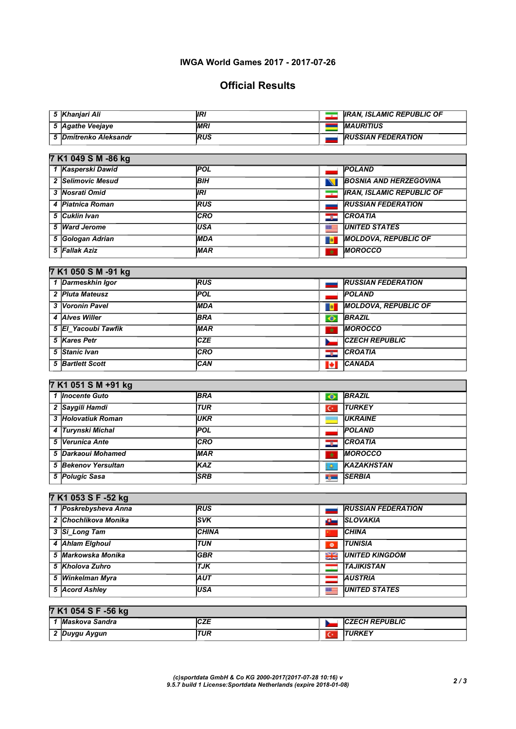### IWGA World Games 2017 - 2017-07-26

# Official Results

| 5  Khaniari Ali       | 'IRI       | <b>IRAN, ISLAMIC REPUBLIC OF</b> |
|-----------------------|------------|----------------------------------|
| 5 Agathe Veejaye      | <b>MRI</b> | <b>MAURITIUS</b>                 |
| 5 Dmitrenko Aleksandr | <b>RUS</b> | <b>RUSSIAN FEDERATION</b>        |
|                       |            |                                  |

| 7 K1 049 S M -86 kg |            |        |                                  |  |  |
|---------------------|------------|--------|----------------------------------|--|--|
| 1 Kasperski Dawid   | <b>POL</b> |        | <b>POLAND</b>                    |  |  |
| 2 Selimovic Mesud   | <b>BIH</b> | NI     | <b>BOSNIA AND HERZEGOVINA</b>    |  |  |
| 3   Nosrati Omid    | IRI        | $\sim$ | <b>IRAN, ISLAMIC REPUBLIC OF</b> |  |  |
| 4 Piatnica Roman    | <b>RUS</b> |        | <b>RUSSIAN FEDERATION</b>        |  |  |
| 5 Cuklin Ivan       | <b>CRO</b> | ۳      | <b>CROATIA</b>                   |  |  |
| 5 Ward Jerome       | <b>USA</b> | ■■     | <b>UNITED STATES</b>             |  |  |
| 5 Gologan Adrian    | <b>MDA</b> | 動      | <b>MOLDOVA, REPUBLIC OF</b>      |  |  |
| 5 Fallak Aziz       | <b>MAR</b> | ÷      | <b>MOROCCO</b>                   |  |  |

## 7 K1 050 S M -91 kg

7 Known Street (1982)

| 1 Darmeskhin Igor   | <b>RUS</b> | <b>RUSSIAN FEDERATION</b>         |
|---------------------|------------|-----------------------------------|
| 2 Pluta Mateusz     | <b>POL</b> | <b>POLAND</b>                     |
| 3 Voronin Pavel     | <b>MDA</b> | <b>MOLDOVA, REPUBLIC OF</b><br>■● |
| 4 Alves Willer      | <b>BRA</b> | <b>BRAZIL</b><br>◉                |
| 5 El Yacoubi Tawfik | <b>MAR</b> | <b>MOROCCO</b><br>$\star$         |
| 5 Kares Petr        | <b>CZE</b> | <b>CZECH REPUBLIC</b>             |
| 5 Stanic Ivan       | <b>CRO</b> | <b>CROATIA</b><br>÷.              |
| 5 Bartlett Scott    | <b>CAN</b> | <b>CANADA</b><br>Þ                |
|                     |            |                                   |

### 7 K1 051 S M +91 kg

| 1 Inocente Guto     | <b>BRA</b> | $\bullet$      | <b>BRAZIL</b>     |
|---------------------|------------|----------------|-------------------|
| 2 Saygili Hamdi     | <b>TUR</b> | $\overline{C}$ | <b>TURKEY</b>     |
| 3 Holovatiuk Roman  | <b>UKR</b> |                | <b>UKRAINE</b>    |
| 4 Turynski Michal   | <b>POL</b> |                | <b>POLAND</b>     |
| 5 Verunica Ante     | <b>CRO</b> | -52            | <b>CROATIA</b>    |
| 5 Darkaoui Mohamed  | <b>MAR</b> | $\star$        | <b>MOROCCO</b>    |
| 5 Bekenov Yersultan | <b>KAZ</b> | ۵              | <b>KAZAKHSTAN</b> |
| 5 Polugic Sasa      | <b>SRB</b> | $\delta$ =     | <b>SERBIA</b>     |
|                     |            |                |                   |

## 7 K1 053 S F -52 kg

| 1 Poskrebysheva Anna | <b>RUS</b>   |           | <b>RUSSIAN FEDERATION</b> |
|----------------------|--------------|-----------|---------------------------|
| 2 Chochlikova Monika | <b>SVK</b>   | А.        | <b>SLOVAKIA</b>           |
| 3 Si Long Tam        | <b>CHINA</b> |           | <b>CHINA</b>              |
| 4 Ahlam Elghoul      | <b>TUN</b>   | $\bullet$ | <b>TUNISIA</b>            |
| 5 Markowska Monika   | <b>GBR</b>   | ≫≍        | <b>UNITED KINGDOM</b>     |
| 5 Kholova Zuhro      | <b>TJK</b>   |           | <b>TAJIKISTAN</b>         |
| 5 Winkelman Myra     | AUT          |           | <b>AUSTRIA</b>            |
| 5 Acord Ashley       | USA          | ■         | <b>UNITED STATES</b>      |
|                      |              |           |                           |

## 7 K1 054 S F -56 kg

|   | Sandra<br><i><b>IMaskova</b></i> | ---<br>ᇆᄯ | <b>REPUBLIC</b><br>. |
|---|----------------------------------|-----------|----------------------|
| - | Avaun<br>,,,,,,,<br>79t<br>.     | TUR       | ovcv<br>/MNE         |